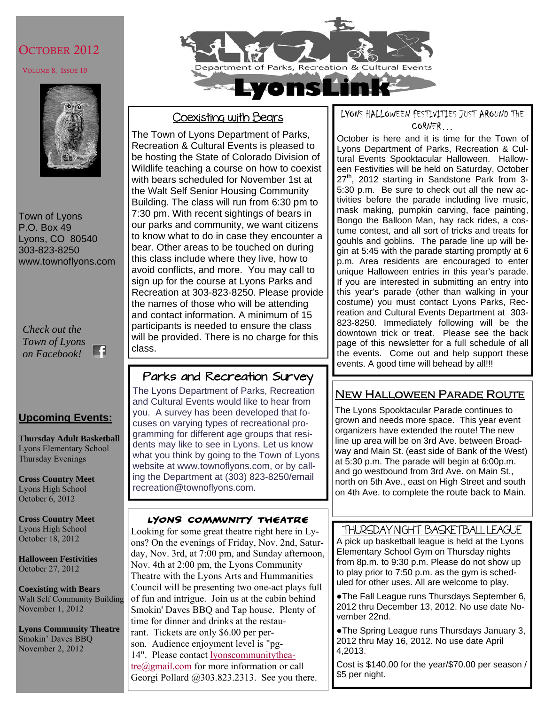## OCTOBER 2012

#### VOLUME 8, ISSUE 10



Town of Lyons P.O. Box 49 Lyons, CO 80540 303-823-8250 www.townoflyons.com

*Check out the Town of Lyons*  ĸ *on Facebook!* 

## **Upcoming Events:**

**Thursday Adult Basketball**  Lyons Elementary School Thursday Evenings

**Cross Country Meet**  Lyons High School October 6, 2012

**Cross Country Meet**  Lyons High School October 18, 2012

**Halloween Festivities**  October 27, 2012

**Coexisting with Bears**  Walt Self Community Building November 1, 2012

**Lyons Community Theatre**  Smokin' Daves BBQ November 2, 2012



## Coexisting with Bears

The Town of Lyons Department of Parks, Recreation & Cultural Events is pleased to be hosting the State of Colorado Division of Wildlife teaching a course on how to coexist with bears scheduled for November 1st at the Walt Self Senior Housing Community Building. The class will run from 6:30 pm to 7:30 pm. With recent sightings of bears in our parks and community, we want citizens to know what to do in case they encounter a bear. Other areas to be touched on during this class include where they live, how to avoid conflicts, and more. You may call to sign up for the course at Lyons Parks and Recreation at 303-823-8250. Please provide the names of those who will be attending and contact information. A minimum of 15 participants is needed to ensure the class will be provided. There is no charge for this class.

# Parks and Recreation Survey

The Lyons Department of Parks, Recreation and Cultural Events would like to hear from you. A survey has been developed that focuses on varying types of recreational programming for different age groups that residents may like to see in Lyons. Let us know what you think by going to the Town of Lyons website at www.townoflyons.com, or by calling the Department at (303) 823-8250/email recreation@townoflyons.com.

## Lyons Community Theatre

Looking for some great theatre right here in Lyons? On the evenings of Friday, Nov. 2nd, Saturday, Nov. 3rd, at 7:00 pm, and Sunday afternoon, Nov. 4th at 2:00 pm, the Lyons Community Theatre with the Lyons Arts and Hummanities Council will be presenting two one-act plays full of fun and intrigue. Join us at the cabin behind Smokin' Daves BBQ and Tap house. Plenty of time for dinner and drinks at the restau-

rant. Tickets are only \$6.00 per per-

son. Audience enjoyment level is "pg-

14". Please contact lyonscommunitytheatre@gmail.com for more information or call Georgi Pollard @303.823.2313. See you there. LYONS HALLOWEEN FESTIVITIES JUST AROUND THE CORNER…

October is here and it is time for the Town of Lyons Department of Parks, Recreation & Cultural Events Spooktacular Halloween. Halloween Festivities will be held on Saturday, October 27<sup>th</sup>, 2012 starting in Sandstone Park from 3-5:30 p.m. Be sure to check out all the new activities before the parade including live music, mask making, pumpkin carving, face painting, Bongo the Balloon Man, hay rack rides, a costume contest, and all sort of tricks and treats for gouhls and goblins. The parade line up will begin at 5:45 with the parade starting promptly at 6 p.m. Area residents are encouraged to enter unique Halloween entries in this year's parade. If you are interested in submitting an entry into this year's parade (other than walking in your costume) you must contact Lyons Parks, Recreation and Cultural Events Department at 303- 823-8250. Immediately following will be the downtown trick or treat. Please see the back page of this newsletter for a full schedule of all the events. Come out and help support these events. A good time will behead by all!!!

# New Halloween Parade Route

The Lyons Spooktacular Parade continues to grown and needs more space. This year event organizers have extended the route! The new line up area will be on 3rd Ave. between Broadway and Main St. (east side of Bank of the West) at 5:30 p.m. The parade will begin at 6:00p.m. and go westbound from 3rd Ave. on Main St., north on 5th Ave., east on High Street and south on 4th Ave. to complete the route back to Main.

## THURSDAY NIGHT BASKETBALL LEAGUE

A pick up basketball league is held at the Lyons Elementary School Gym on Thursday nights from 8p.m. to 9:30 p.m. Please do not show up to play prior to 7:50 p.m. as the gym is scheduled for other uses. All are welcome to play.

●The Fall League runs Thursdays September 6, 2012 thru December 13, 2012. No use date November 22nd.

●The Spring League runs Thursdays January 3, 2012 thru May 16, 2012. No use date April 4,2013.

Cost is \$140.00 for the year/\$70.00 per season / \$5 per night.